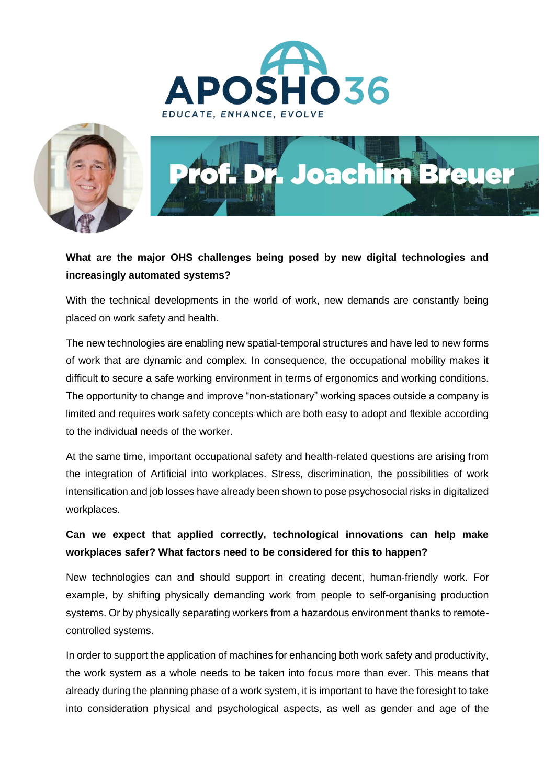





## **What are the major OHS challenges being posed by new digital technologies and increasingly automated systems?**

With the technical developments in the world of work, new demands are constantly being placed on work safety and health.

The new technologies are enabling new spatial-temporal structures and have led to new forms of work that are dynamic and complex. In consequence, the occupational mobility makes it difficult to secure a safe working environment in terms of ergonomics and working conditions. The opportunity to change and improve "non-stationary" working spaces outside a company is limited and requires work safety concepts which are both easy to adopt and flexible according to the individual needs of the worker.

At the same time, important occupational safety and health-related questions are arising from the integration of Artificial into workplaces. Stress, discrimination, the possibilities of work intensification and job losses have already been shown to pose psychosocial risks in digitalized workplaces.

## **Can we expect that applied correctly, technological innovations can help make workplaces safer? What factors need to be considered for this to happen?**

New technologies can and should support in creating decent, human-friendly work. For example, by shifting physically demanding work from people to self-organising production systems. Or by physically separating workers from a hazardous environment thanks to remotecontrolled systems.

In order to support the application of machines for enhancing both work safety and productivity, the work system as a whole needs to be taken into focus more than ever. This means that already during the planning phase of a work system, it is important to have the foresight to take into consideration physical and psychological aspects, as well as gender and age of the